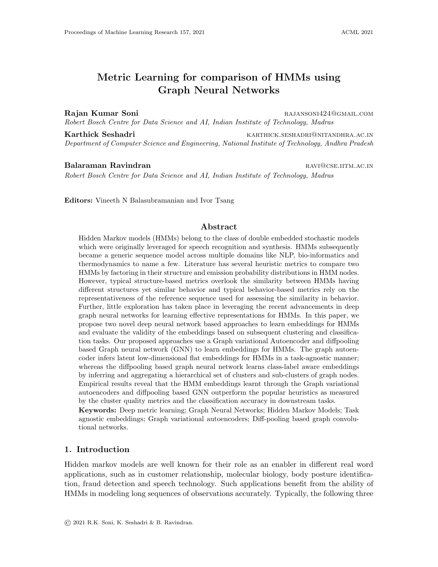# Metric Learning for comparison of HMMs using Graph Neural Networks

Rajan Kumar Soni **Rajansoni** RAJANSONI424@GMAIL.COM Robert Bosch Centre for Data Science and AI, Indian Institute of Technology, Madras

Karthick Seshadri **Karthick Seshadri** Karthick.seshadri@nitandhra.ac.in Department of Computer Science and Engineering, National Institute of Technology, Andhra Pradesh

Balaraman Ravindran **raving and the set of the set of the set of the set of the set of the set of the set of the set of the set of the set of the set of the set of the set of the set of the set of the set of the set of the** Robert Bosch Centre for Data Science and AI, Indian Institute of Technology, Madras

Editors: Vineeth N Balasubramanian and Ivor Tsang

#### Abstract

Hidden Markov models (HMMs) belong to the class of double embedded stochastic models which were originally leveraged for speech recognition and synthesis. HMMs subsequently became a generic sequence model across multiple domains like NLP, bio-informatics and thermodynamics to name a few. Literature has several heuristic metrics to compare two HMMs by factoring in their structure and emission probability distributions in HMM nodes. However, typical structure-based metrics overlook the similarity between HMMs having different structures yet similar behavior and typical behavior-based metrics rely on the representativeness of the reference sequence used for assessing the similarity in behavior. Further, little exploration has taken place in leveraging the recent advancements in deep graph neural networks for learning effective representations for HMMs. In this paper, we propose two novel deep neural network based approaches to learn embeddings for HMMs and evaluate the validity of the embeddings based on subsequent clustering and classification tasks. Our proposed approaches use a Graph variational Autoencoder and diffpooling based Graph neural network (GNN) to learn embeddings for HMMs. The graph autoencoder infers latent low-dimensional flat embeddings for HMMs in a task-agnostic manner; whereas the diffpooling based graph neural network learns class-label aware embeddings by inferring and aggregating a hierarchical set of clusters and sub-clusters of graph nodes. Empirical results reveal that the HMM embeddings learnt through the Graph variational autoencoders and diffpooling based GNN outperform the popular heuristics as measured by the cluster quality metrics and the classification accuracy in downstream tasks.

Keywords: Deep metric learning; Graph Neural Networks; Hidden Markov Models; Task agnostic embeddings; Graph variational autoencoders; Diff-pooling based graph convolutional networks.

#### 1. Introduction

Hidden markov models are well known for their role as an enabler in different real word applications, such as in customer relationship, molecular biology, body posture identification, fraud detection and speech technology. Such applications benefit from the ability of HMMs in modeling long sequences of observations accurately. Typically, the following three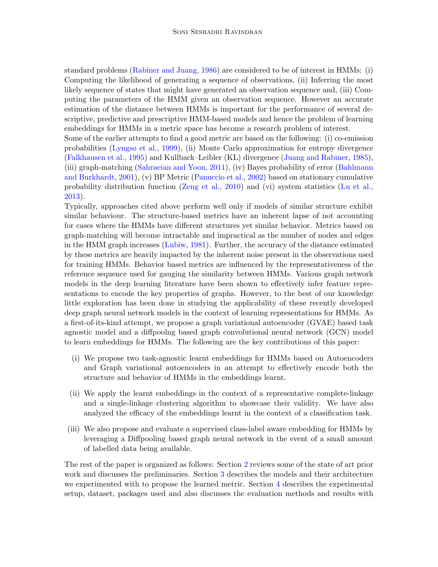standard problems [\(Rabiner and Juang,](#page-15-0) [1986\)](#page-15-0) are considered to be of interest in HMMs: (i) Computing the likelihood of generating a sequence of observations, (ii) Inferring the most likely sequence of states that might have generated an observation sequence and, (iii) Computing the parameters of the HMM given an observation sequence. However an accurate estimation of the distance between HMMs is important for the performance of several descriptive, predictive and prescriptive HMM-based models and hence the problem of learning embeddings for HMMs in a metric space has become a research problem of interest.

Some of the earlier attempts to find a good metric are based on the following: (i) co-emission probabilities [\(Lyngsø et al.,](#page-15-1) [1999\)](#page-15-1), (ii) Monte Carlo approximation for entropy divergence [\(Falkhausen et al.,](#page-14-0) [1995\)](#page-14-0) and Kullback–Leibler (KL) divergence [\(Juang and Rabiner,](#page-15-2) [1985\)](#page-15-2), (iii) graph-matching [\(Sahraeian and Yoon,](#page-15-3) [2011\)](#page-15-3), (iv) Bayes probability of error [\(Bahlmann](#page-14-1) [and Burkhardt,](#page-14-1) [2001\)](#page-14-1), (v) BP Metric [\(Panuccio et al.,](#page-15-4) [2002\)](#page-15-4) based on stationary cumulative probability distribution function [\(Zeng et al.,](#page-15-5) [2010\)](#page-15-5) and (vi) system statistics [\(Lu et al.,](#page-15-6) [2013\)](#page-15-6).

Typically, approaches cited above perform well only if models of similar structure exhibit similar behaviour. The structure-based metrics have an inherent lapse of not accounting for cases where the HMMs have different structures yet similar behavior. Metrics based on graph-matching will become intractable and impractical as the number of nodes and edges in the HMM graph increases [\(Lubiw,](#page-15-7) [1981\)](#page-15-7). Further, the accuracy of the distance estimated by these metrics are heavily impacted by the inherent noise present in the observations used for training HMMs. Behavior based metrics are influenced by the representativeness of the reference sequence used for gauging the similarity between HMMs. Various graph network models in the deep learning literature have been shown to effectively infer feature representations to encode the key properties of graphs. However, to the best of our knowledge little exploration has been done in studying the applicability of these recently developed deep graph neural network models in the context of learning representations for HMMs. As a first-of-its-kind attempt, we propose a graph variational autoencoder (GVAE) based task agnostic model and a diffpoolng based graph convolutional neural network (GCN) model to learn embeddings for HMMs. The following are the key contributions of this paper:

- (i) We propose two task-agnostic learnt embeddings for HMMs based on Autoencoders and Graph variational autoencoders in an attempt to effectively encode both the structure and behavior of HMMs in the embeddings learnt.
- (ii) We apply the learnt embeddings in the context of a representative complete-linkage and a single-linkage clustering algorithm to showcase their validity. We have also analyzed the efficacy of the embeddings learnt in the context of a classification task.
- (iii) We also propose and evaluate a supervised class-label aware embedding for HMMs by leveraging a Diffpooling based graph neural network in the event of a small amount of labelled data being available.

The rest of the paper is organized as follows: Section [2](#page-2-0) reviews some of the state of art prior work and discusses the preliminaries. Section [3](#page-3-0) describes the models and their architecture we experimented with to propose the learned metric. Section [4](#page-9-0) describes the experimental setup, dataset, packages used and also discusses the evaluation methods and results with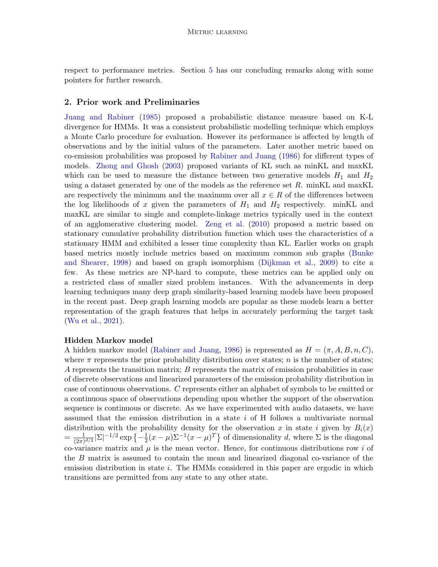respect to performance metrics. Section [5](#page-14-2) has our concluding remarks along with some pointers for further research.

#### <span id="page-2-0"></span>2. Prior work and Preliminaries

[Juang and Rabiner](#page-15-2) [\(1985\)](#page-15-2) proposed a probabilistic distance measure based on K-L divergence for HMMs. It was a consistent probabilistic modelling technique which employs a Monte Carlo procedure for evaluation. However its performance is affected by length of observations and by the initial values of the parameters. Later another metric based on co-emission probabilities was proposed by [Rabiner and Juang](#page-15-0) [\(1986\)](#page-15-0) for different types of models. [Zhong and Ghosh](#page-15-8) [\(2003\)](#page-15-8) proposed variants of KL such as minKL and maxKL which can be used to measure the distance between two generative models  $H_1$  and  $H_2$ using a dataset generated by one of the models as the reference set  $R$ . minKL and maxKL are respectively the minimum and the maximum over all  $x \in R$  of the differences between the log likelihoods of x given the parameters of  $H_1$  and  $H_2$  respectively. minKL and maxKL are similar to single and complete-linkage metrics typically used in the context of an agglomerative clustering model. [Zeng et al.](#page-15-5) [\(2010\)](#page-15-5) proposed a metric based on stationary cumulative probability distribution function which uses the characteristics of a stationary HMM and exhibited a lesser time complexity than KL. Earlier works on graph based metrics mostly include metrics based on maximum common sub graphs [\(Bunke](#page-14-3) [and Shearer,](#page-14-3) [1998\)](#page-14-3) and based on graph isomorphism [\(Dijkman et al.,](#page-14-4) [2009\)](#page-14-4) to cite a few. As these metrics are NP-hard to compute, these metrics can be applied only on a restricted class of smaller sized problem instances. With the advancements in deep learning techniques many deep graph similarity-based learning models have been proposed in the recent past. Deep graph learning models are popular as these models learn a better representation of the graph features that helps in accurately performing the target task [\(Wu et al.,](#page-15-9) [2021\)](#page-15-9).

#### Hidden Markov model

A hidden markov model [\(Rabiner and Juang,](#page-15-0) [1986\)](#page-15-0) is represented as  $H = (\pi, A, B, n, C)$ , where  $\pi$  represents the prior probability distribution over states; n is the number of states; A represents the transition matrix;  $B$  represents the matrix of emission probabilities in case of discrete observations and linearized parameters of the emission probability distribution in case of continuous observations. C represents either an alphabet of symbols to be emitted or a continuous space of observations depending upon whether the support of the observation sequence is continuous or discrete. As we have experimented with audio datasets, we have assumed that the emission distribution in a state i of H follows a multivariate normal distribution with the probability density for the observation x in state i given by  $B_i(x)$  $=\frac{1}{(2\pi)}$  $\frac{1}{(2\pi)^{d/2}}|\Sigma|^{-1/2}\exp\left\{-\frac{1}{2}\right\}$  $\frac{1}{2}(x-\mu)\Sigma^{-1}(x-\mu)^T$  of dimensionality d, where  $\Sigma$  is the diagonal co-variance matrix and  $\mu$  is the mean vector. Hence, for continuous distributions row i of the B matrix is assumed to contain the mean and linearized diagonal co-variance of the emission distribution in state  $i$ . The HMMs considered in this paper are ergodic in which transitions are permitted from any state to any other state.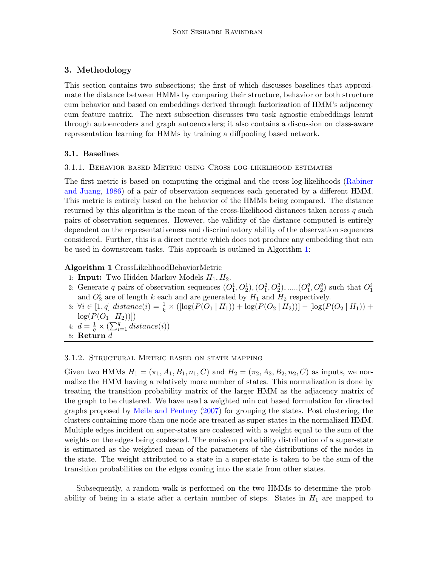## <span id="page-3-0"></span>3. Methodology

This section contains two subsections; the first of which discusses baselines that approximate the distance between HMMs by comparing their structure, behavior or both structure cum behavior and based on embeddings derived through factorization of HMM's adjacency cum feature matrix. The next subsection discusses two task agnostic embeddings learnt through autoencoders and graph autoencoders; it also contains a discussion on class-aware representation learning for HMMs by training a diffpooling based network.

## 3.1. Baselines

## 3.1.1. Behavior based Metric using Cross log-likelihood estimates

The first metric is based on computing the original and the cross log-likelihoods [\(Rabiner](#page-15-0) [and Juang,](#page-15-0) [1986\)](#page-15-0) of a pair of observation sequences each generated by a different HMM. This metric is entirely based on the behavior of the HMMs being compared. The distance returned by this algorithm is the mean of the cross-likelihood distances taken across q such pairs of observation sequences. However, the validity of the distance computed is entirely dependent on the representativeness and discriminatory ability of the observation sequences considered. Further, this is a direct metric which does not produce any embedding that can be used in downstream tasks. This approach is outlined in Algorithm [1:](#page-3-1)

## Algorithm 1 CrossLikelihoodBehaviorMetric

- <span id="page-3-1"></span>1: **Input:** Two Hidden Markov Models  $H_1, H_2$ .
- 2: Generate q pairs of observation sequences  $(O_1^1, O_2^1), (O_1^2, O_2^2), \dots, (O_1^q)$  $_1^q$ ,  $O_2^q$ ) such that  $O_1^i$ and  $O_2^i$  are of length k each and are generated by  $H_1$  and  $H_2$  respectively.
- 3:  $\forall i \in [1, q] \text{ distance}(i) = \frac{1}{k} \times ([\log(P(O_1 \mid H_1)) + \log(P(O_2 \mid H_2))] [\log(P(O_2 \mid H_1)) +$  $log(P(O_1 | H_2))$
- 4:  $d = \frac{1}{a}$  $\frac{1}{q} \times (\sum_{i=1}^{q} distance(i))$
- 5: Return  $d$

### 3.1.2. Structural Metric based on state mapping

Given two HMMs  $H_1 = (\pi_1, A_1, B_1, n_1, C)$  and  $H_2 = (\pi_2, A_2, B_2, n_2, C)$  as inputs, we normalize the HMM having a relatively more number of states. This normalization is done by treating the transition probability matrix of the larger HMM as the adjacency matrix of the graph to be clustered. We have used a weighted min cut based formulation for directed graphs proposed by [Meila and Pentney](#page-15-10) [\(2007\)](#page-15-10) for grouping the states. Post clustering, the clusters containing more than one node are treated as super-states in the normalized HMM. Multiple edges incident on super-states are coalesced with a weight equal to the sum of the weights on the edges being coalesced. The emission probability distribution of a super-state is estimated as the weighted mean of the parameters of the distributions of the nodes in the state. The weight attributed to a state in a super-state is taken to be the sum of the transition probabilities on the edges coming into the state from other states.

Subsequently, a random walk is performed on the two HMMs to determine the probability of being in a state after a certain number of steps. States in  $H_1$  are mapped to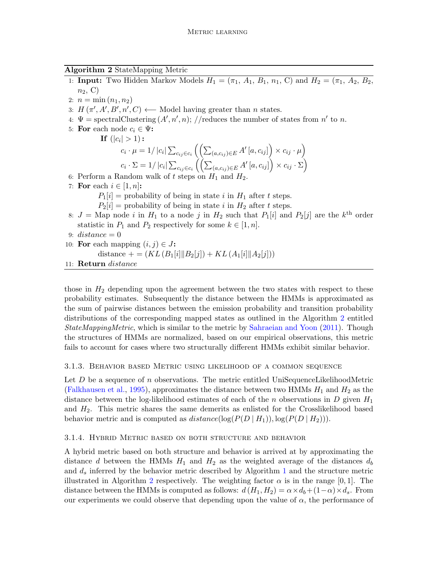Algorithm 2 StateMapping Metric

- <span id="page-4-0"></span>1: **Input:** Two Hidden Markov Models  $H_1 = (\pi_1, A_1, B_1, n_1, C)$  and  $H_2 = (\pi_1, A_2, B_2,$  $n_2$ , C)
- 2:  $n = \min(n_1, n_2)$
- 3:  $H(\pi', A', B', n', C) \longleftarrow$  Model having greater than *n* states.
- 4:  $\Psi = \text{spectralClustering}(A', n', n); // reduces the number of states from n' to n.$
- 5: For each node  $c_i \in \Psi$ :
	- If  $(|c_i|>1)$  :

$$
c_i \cdot \mu = 1/|c_i| \sum_{c_{ij} \in c_i} \left( \left( \sum_{(a,c_{ij}) \in E} A' [a, c_{ij}] \right) \times c_{ij} \cdot \mu \right)
$$
  

$$
c_i \cdot \Sigma = 1/|c_i| \sum_{c_{ij} \in c_i} \left( \left( \sum_{(a,c_{ij}) \in E} A' [a, c_{ij}] \right) \times c_{ij} \cdot \Sigma \right)
$$

- 6: Perform a Random walk of t steps on  $H_1$  and  $H_2$ .
- 7: For each  $i \in [1, n]$ :

 $P_1[i]$  = probability of being in state i in  $H_1$  after t steps.

- $P_2[i]$  = probability of being in state i in  $H_2$  after t steps.
- 8:  $J =$ Map node i in  $H_1$  to a node j in  $H_2$  such that  $P_1[i]$  and  $P_2[j]$  are the  $k^{\text{th}}$  order statistic in  $P_1$  and  $P_2$  respectively for some  $k \in [1, n]$ .
- 9:  $distance = 0$
- 10: For each mapping  $(i, j) \in J$ :

distance  $+ = (KL(B_1[i]||B_2[j]) + KL(A_1[i]||A_2[j]))$ 

11: Return distance

those in  $H_2$  depending upon the agreement between the two states with respect to these probability estimates. Subsequently the distance between the HMMs is approximated as the sum of pairwise distances between the emission probability and transition probability distributions of the corresponding mapped states as outlined in the Algorithm [2](#page-4-0) entitled StateMappingMetric, which is similar to the metric by [Sahraeian and Yoon](#page-15-3) [\(2011\)](#page-15-3). Though the structures of HMMs are normalized, based on our empirical observations, this metric fails to account for cases where two structurally different HMMs exhibit similar behavior.

### 3.1.3. Behavior based Metric using likelihood of a common sequence

Let  $D$  be a sequence of n observations. The metric entitled UniSequenceLikelihoodMetric [\(Falkhausen et al.,](#page-14-0) [1995\)](#page-14-0), approximates the distance between two HMMs  $H_1$  and  $H_2$  as the distance between the log-likelihood estimates of each of the n observations in D given  $H_1$ and  $H_2$ . This metric shares the same demerits as enlisted for the Crosslikelihood based behavior metric and is computed as  $distance(log(P(D | H_1)), log(P(D | H_2))).$ 

#### 3.1.4. Hybrid Metric based on both structure and behavior

A hybrid metric based on both structure and behavior is arrived at by approximating the distance d between the HMMs  $H_1$  and  $H_2$  as the weighted average of the distances  $d_b$ and  $d_s$  inferred by the behavior metric described by Algorithm [1](#page-3-1) and the structure metric illustrated in Algorithm [2](#page-4-0) respectively. The weighting factor  $\alpha$  is in the range [0, 1]. The distance between the HMMs is computed as follows:  $d(H_1, H_2) = \alpha \times d_b + (1-\alpha) \times d_s$ . From our experiments we could observe that depending upon the value of  $\alpha$ , the performance of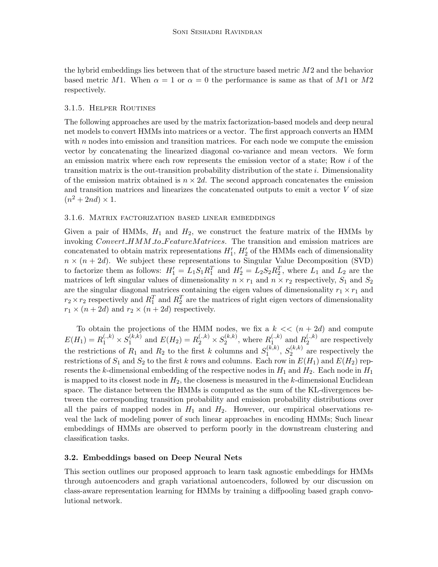the hybrid embeddings lies between that of the structure based metric M2 and the behavior based metric M1. When  $\alpha = 1$  or  $\alpha = 0$  the performance is same as that of M1 or M2 respectively.

### <span id="page-5-0"></span>3.1.5. Helper Routines

The following approaches are used by the matrix factorization-based models and deep neural net models to convert HMMs into matrices or a vector. The first approach converts an HMM with  $n$  nodes into emission and transition matrices. For each node we compute the emission vector by concatenating the linearized diagonal co-variance and mean vectors. We form an emission matrix where each row represents the emission vector of a state; Row i of the transition matrix is the out-transition probability distribution of the state i. Dimensionality of the emission matrix obtained is  $n \times 2d$ . The second approach concatenates the emission and transition matrices and linearizes the concatenated outputs to emit a vector  $V$  of size  $(n^2+2nd)\times 1$ .

### 3.1.6. Matrix factorization based linear embeddings

Given a pair of HMMs,  $H_1$  and  $H_2$ , we construct the feature matrix of the HMMs by invoking  $Convert\_HMM_to\_FeatureMatrices$ . The transition and emission matrices are concatenated to obtain matrix representations  $H'_1$ ,  $H'_2$  of the HMMs each of dimensionality  $n \times (n + 2d)$ . We subject these representations to Singular Value Decomposition (SVD) to factorize them as follows:  $H_1' = L_1S_1R_1^T$  and  $H_2' = L_2S_2R_2^T$ , where  $L_1$  and  $L_2$  are the matrices of left singular values of dimensionality  $n \times r_1$  and  $n \times r_2$  respectively,  $S_1$  and  $S_2$ are the singular diagonal matrices containing the eigen values of dimensionality  $r_1 \times r_1$  and  $r_2 \times r_2$  respectively and  $R_1^T$  and  $R_2^T$  are the matrices of right eigen vectors of dimensionality  $r_1 \times (n+2d)$  and  $r_2 \times (n+2d)$  respectively.

To obtain the projections of the HMM nodes, we fix a  $k \ll (n + 2d)$  and compute  $E(H_1) = R_1^{(.,k)} \times S_1^{(k,k)}$  $I_1^{(k,k)}$  and  $E(H_2) = R_2^{(.,k)} \times S_2^{(k,k)}$  $2^{(k,k)}$ , where  $R_1^{(.,k)}$  $_1^{(.,k)}$  and  $R_2^{(.,k)}$  $2^{(\cdot,\kappa)}$  are respectively the restrictions of  $R_1$  and  $R_2$  to the first k columns and  $S_1^{(k,k)}$  $S_1^{(k,k)}, S_2^{(k,k)}$  $2^{(\kappa,\kappa)}$  are respectively the restrictions of  $S_1$  and  $S_2$  to the first k rows and columns. Each row in  $E(H_1)$  and  $E(H_2)$  represents the k-dimensional embedding of the respective nodes in  $H_1$  and  $H_2$ . Each node in  $H_1$ is mapped to its closest node in  $H_2$ , the closeness is measured in the k-dimensional Euclidean space. The distance between the HMMs is computed as the sum of the KL-divergences between the corresponding transition probability and emission probability distributions over all the pairs of mapped nodes in  $H_1$  and  $H_2$ . However, our empirical observations reveal the lack of modeling power of such linear approaches in encoding HMMs; Such linear embeddings of HMMs are observed to perform poorly in the downstream clustering and classification tasks.

### 3.2. Embeddings based on Deep Neural Nets

This section outlines our proposed approach to learn task agnostic embeddings for HMMs through autoencoders and graph variational autoencoders, followed by our discussion on class-aware representation learning for HMMs by training a diffpooling based graph convolutional network.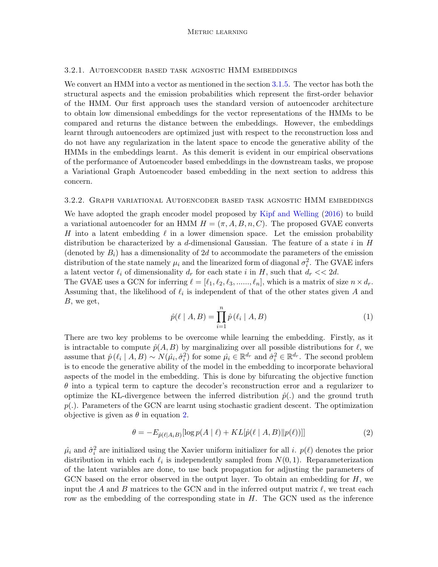#### 3.2.1. Autoencoder based task agnostic HMM embeddings

We convert an HMM into a vector as mentioned in the section [3.1.5.](#page-5-0) The vector has both the structural aspects and the emission probabilities which represent the first-order behavior of the HMM. Our first approach uses the standard version of autoencoder architecture to obtain low dimensional embeddings for the vector representations of the HMMs to be compared and returns the distance between the embeddings. However, the embeddings learnt through autoencoders are optimized just with respect to the reconstruction loss and do not have any regularization in the latent space to encode the generative ability of the HMMs in the embeddings learnt. As this demerit is evident in our empirical observations of the performance of Autoencoder based embeddings in the downstream tasks, we propose a Variational Graph Autoencoder based embedding in the next section to address this concern.

#### 3.2.2. Graph variational Autoencoder based task agnostic HMM embeddings

We have adopted the graph encoder model proposed by [Kipf and Welling](#page-15-11) [\(2016\)](#page-15-11) to build a variational autoencoder for an HMM  $H = (\pi, A, B, n, C)$ . The proposed GVAE converts H into a latent embedding  $\ell$  in a lower dimension space. Let the emission probability distribution be characterized by a d-dimensional Gaussian. The feature of a state i in  $H$ (denoted by  $B_i$ ) has a dimensionality of 2d to accommodate the parameters of the emission distribution of the state namely  $\mu_i$  and the linearized form of diagonal  $\sigma_i^2$ . The GVAE infers a latent vector  $\ell_i$  of dimensionality  $d_r$  for each state i in H, such that  $d_r \ll 2d$ .

The GVAE uses a GCN for inferring  $\ell = [\ell_1, \ell_2, \ell_3, \ldots, \ell_n]$ , which is a matrix of size  $n \times d_r$ . Assuming that, the likelihood of  $\ell_i$  is independent of that of the other states given A and B, we get,

$$
\hat{p}(\ell \mid A, B) = \prod_{i=1}^{n} \hat{p}(\ell_i \mid A, B)
$$
\n(1)

There are two key problems to be overcome while learning the embedding. Firstly, as it is intractable to compute  $\hat{p}(A, B)$  by marginalizing over all possible distributions for  $\ell$ , we assume that  $\hat{p}(\ell_i | A, B) \sim N(\hat{\mu}_i, \hat{\sigma}_i^2)$  for some  $\hat{\mu}_i \in \mathbb{R}^{d_r}$  and  $\hat{\sigma}_i^2 \in \mathbb{R}^{d_r}$ . The second problem is to encode the generative ability of the model in the embedding to incorporate behavioral aspects of the model in the embedding. This is done by bifurcating the objective function  $\theta$  into a typical term to capture the decoder's reconstruction error and a regularizer to optimize the KL-divergence between the inferred distribution  $\hat{p}(.)$  and the ground truth  $p(.)$ . Parameters of the GCN are learnt using stochastic gradient descent. The optimization objective is given as  $\theta$  in equation [2.](#page-6-0)

<span id="page-6-0"></span>
$$
\theta = -E_{\hat{p}(\ell|A_iB)}[\log p(A \mid \ell) + KL[\hat{p}(\ell \mid A, B) \| p(\ell))]] \tag{2}
$$

 $\hat{\mu}_i$  and  $\hat{\sigma}_i^2$  are initialized using the Xavier uniform initializer for all *i*.  $p(\ell)$  denotes the prior distribution in which each  $\ell_i$  is independently sampled from  $N(0, 1)$ . Reparameterization of the latent variables are done, to use back propagation for adjusting the parameters of GCN based on the error observed in the output layer. To obtain an embedding for  $H$ , we input the A and B matrices to the GCN and in the inferred output matrix  $\ell$ , we treat each row as the embedding of the corresponding state in  $H$ . The GCN used as the inference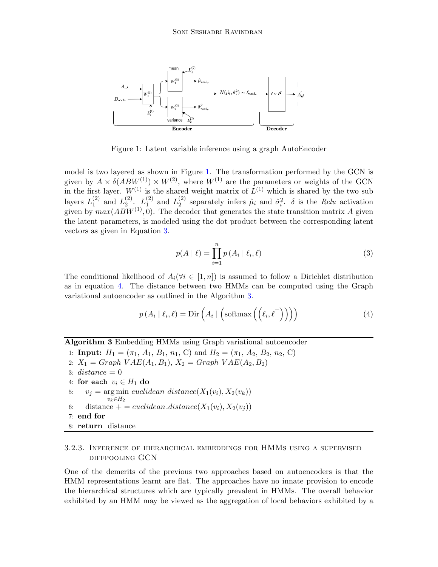

Figure 1: Latent variable inference using a graph AutoEncoder

model is two layered as shown in Figure [1.](#page-7-0) The transformation performed by the GCN is given by  $A \times \delta(ABW^{(1)}) \times W^{(2)}$ , where  $W^{(1)}$  are the parameters or weights of the GCN in the first layer.  $W^{(1)}$  is the shared weight matrix of  $L^{(1)}$  which is shared by the two sub layers  $L_1^{(2)}$  $_1^{(2)}$  and  $L_2^{(2)}$  $\binom{2}{2}$ .  $\binom{1}{2}$  $_1^{(2)}$  and  $L_2^{(2)}$  $\hat{p}_i^{(2)}$  separately infers  $\hat{\mu}_i$  and  $\hat{\sigma}_i^2$ .  $\delta$  is the *Relu* activation given by  $max(ABW^{(1)}, 0)$ . The decoder that generates the state transition matrix A given the latent parameters, is modeled using the dot product between the corresponding latent vectors as given in Equation [3.](#page-7-1)

<span id="page-7-1"></span><span id="page-7-0"></span>
$$
p(A | \ell) = \prod_{i=1}^{n} p(A_i | \ell_i, \ell)
$$
 (3)

The conditional likelihood of  $A_i(\forall i \in [1, n])$  is assumed to follow a Dirichlet distribution as in equation [4.](#page-7-2) The distance between two HMMs can be computed using the Graph variational autoencoder as outlined in the Algorithm [3.](#page-7-3)

<span id="page-7-2"></span>
$$
p(A_i | \ell_i, \ell) = \text{Dir}\left(A_i | \left(\text{softmax}\left(\left(\ell_i, \ell^{\top}\right)\right)\right)\right) \tag{4}
$$

### Algorithm 3 Embedding HMMs using Graph variational autoencoder

<span id="page-7-3"></span>1: **Input:**  $H_1 = (\pi_1, A_1, B_1, n_1, C)$  and  $H_2 = (\pi_1, A_2, B_2, n_2, C)$ 2:  $X_1 = Graph_V A E(A_1, B_1), X_2 = Graph_V A E(A_2, B_2)$ 3:  $distance = 0$ 4: for each  $v_i \in H_1$  do 5:  $v_j = \arg \min \mathit{euclidean\_distance}(X_1(v_i), X_2(v_k))$  $v_k \in H_2$ 6: distance  $+ = euclidean\_distance(X_1(v_i), X_2(v_i))$ 7: end for 8: return distance

## 3.2.3. Inference of hierarchical embeddings for HMMs using a supervised diffpooling GCN

One of the demerits of the previous two approaches based on autoencoders is that the HMM representations learnt are flat. The approaches have no innate provision to encode the hierarchical structures which are typically prevalent in HMMs. The overall behavior exhibited by an HMM may be viewed as the aggregation of local behaviors exhibited by a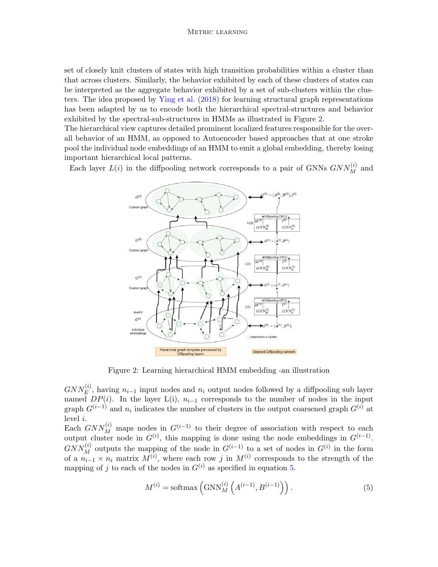set of closely knit clusters of states with high transition probabilities within a cluster than that across clusters. Similarly, the behavior exhibited by each of these clusters of states can be interpreted as the aggregate behavior exhibited by a set of sub-clusters within the clusters. The idea proposed by [Ying et al.](#page-15-12) [\(2018\)](#page-15-12) for learning structural graph representations has been adapted by us to encode both the hierarchical spectral-structures and behavior exhibited by the spectral-sub-structures in HMMs as illustrated in Figure [2.](#page-8-0)

The hierarchical view captures detailed prominent localized features responsible for the overall behavior of an HMM, as opposed to Autoencoder based approaches that at one stroke pool the individual node embeddings of an HMM to emit a global embedding, thereby losing important hierarchical local patterns.

Each layer  $L(i)$  in the diffpooling network corresponds to a pair of GNNs  $GNN_M^{(i)}$  and



<span id="page-8-0"></span>Figure 2: Learning hierarchical HMM embedding -an illustration

 $GNN_E^{(i)}$ , having  $n_{i-1}$  input nodes and  $n_i$  output nodes followed by a diffpooling sub layer named  $DP(i)$ . In the layer L(i),  $n_{i-1}$  corresponds to the number of nodes in the input graph  $G^{(i-1)}$  and  $n_i$  indicates the number of clusters in the output coarsened graph  $G^{(i)}$  at level i.

Each  $GNN_M^{(i)}$  maps nodes in  $G^{(i-1)}$  to their degree of association with respect to each output cluster node in  $G^{(i)}$ , this mapping is done using the node embeddings in  $G^{(i-1)}$ .  $GNN_M^{(i)}$  outputs the mapping of the node in  $G^{(i-1)}$  to a set of nodes in  $G^{(i)}$  in the form of a  $n_{i-1} \times n_i$  matrix  $M^{(i)}$ , where each row j in  $M^{(i)}$  corresponds to the strength of the mapping of j to each of the nodes in  $G^{(i)}$  as specified in equation [5.](#page-8-1)

<span id="page-8-1"></span>
$$
M^{(i)} = \text{softmax}\left(\text{GNN}_M^{(i)}\left(A^{(i-1)}, B^{(i-1)}\right)\right). \tag{5}
$$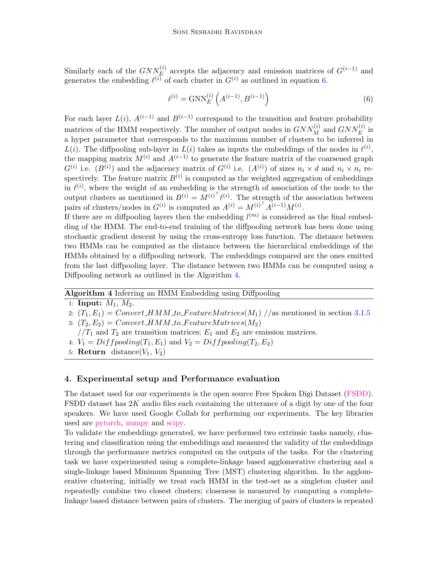Similarly each of the  $GNN^{(i)}_E$  accepts the adjacency and emission matrices of  $G^{(i-1)}$  and generates the embedding  $\ell^{(i)}$  of each cluster in  $G^{(i)}$  as outlined in equation [6.](#page-9-1)

<span id="page-9-1"></span>
$$
\ell^{(i)} = \text{GNN}_E^{(i)}\left(A^{(i-1)}, B^{(i-1)}\right) \tag{6}
$$

For each layer  $L(i)$ ,  $A^{(i-1)}$  and  $B^{(i-1)}$  correspond to the transition and feature probability matrices of the HMM respectively. The number of output nodes in  $GNN_M^{(i)}$  and  $GNN_E^{(i)}$  is a hyper parameter that corresponds to the maximum number of clusters to be inferred in  $L(i)$ . The diffpooling sub-layer in  $L(i)$  takes as inputs the embeddings of the nodes in  $\ell^{(i)}$ , the mapping matrix  $M^{(i)}$  and  $A^{(i-1)}$  to generate the feature matrix of the coarsened graph  $G^{(i)}$  i.e.  $(B^{(i)})$  and the adjacency matrix of  $G^{(i)}$  i.e.  $(A^{(i)})$  of sizes  $n_i \times d$  and  $n_i \times n_i$  respectively. The feature matrix  $B^{(i)}$  is computed as the weighted aggregation of embeddings in  $\ell^{(i)}$ , where the weight of an embedding is the strength of association of the node to the output clusters as mentioned in  $B^{(i)} = M^{(i)\top} \ell^{(i)}$ . The strength of the association between pairs of clusters/nodes in  $G^{(i)}$  is computed as  $A^{(i)} = M^{(i)\dagger} A^{(i-1)} M^{(i)}$ .

If there are m diffpooling layers then the embedding  $l^{(m)}$  is considered as the final embedding of the HMM. The end-to-end training of the diffpooling network has been done using stochastic gradient descent by using the cross-entropy loss function. The distance between two HMMs can be computed as the distance between the hierarchical embeddings of the HMMs obtained by a diffpooling network. The embeddings compared are the ones emitted from the last diffpooling layer. The distance between two HMMs can be computed using a Diffpooling network as outlined in the Algorithm [4.](#page-9-2)

#### Algorithm 4 Inferring an HMM Embedding using Diffpooling

```
1: Input: M_1, M_2.
```
- 2:  $(T_1, E_1) = Convert \text{HMM-to-FeatureMatrices}(M_1)$  //as mentioned in section [3.1.5](#page-5-0)
- 3:  $(T_2, E_2) = Convert HMM_to.FeatureMatrices (M_2)$
- $1/T_1$  and  $T_2$  are transition matrices;  $E_1$  and  $E_2$  are emission matrices.
- 4:  $V_1 = Diffpooling(T_1, E_1)$  and  $V_2 = Diffpooling(T_2, E_2)$
- 5: **Return** distance $(V_1, V_2)$

#### <span id="page-9-0"></span>4. Experimental setup and Performance evaluation

The dataset used for our experiments is the open source Free Spoken Digi Dataset [\(FSDD\)](https://github.com/Jakobovski/free-spoken-digit-dataset). FSDD dataset has  $2K$  audio files each containing the utterance of a digit by one of the four speakers. We have used Google Collab for performing our experiments. The key libraries used are [pytorch,](https://pytorch.org/) [numpy](https://numpy.org/) and [scipy.](https://www.scipy.org/)

To validate the embeddings generated, we have performed two extrinsic tasks namely, clustering and classification using the embeddings and measured the validity of the embeddings through the performance metrics computed on the outputs of the tasks. For the clustering task we have experimented using a complete-linkage based agglomerative clustering and a single-linkage based Minimum Spanning Tree (MST) clustering algorithm. In the agglomerative clustering, initially we treat each HMM in the test-set as a singleton cluster and repeatedly combine two closest clusters; closeness is measured by computing a completelinkage based distance between pairs of clusters. The merging of pairs of clusters is repeated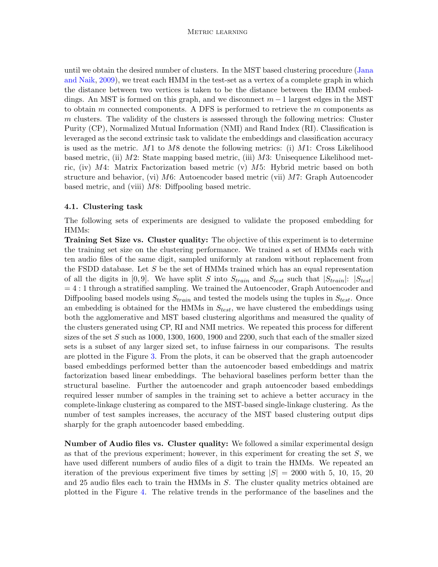until we obtain the desired number of clusters. In the MST based clustering procedure [\(Jana](#page-15-13) [and Naik,](#page-15-13) [2009\)](#page-15-13), we treat each HMM in the test-set as a vertex of a complete graph in which the distance between two vertices is taken to be the distance between the HMM embeddings. An MST is formed on this graph, and we disconnect  $m-1$  largest edges in the MST to obtain m connected components. A DFS is performed to retrieve the m components as m clusters. The validity of the clusters is assessed through the following metrics: Cluster Purity (CP), Normalized Mutual Information (NMI) and Rand Index (RI). Classification is leveraged as the second extrinsic task to validate the embeddings and classification accuracy is used as the metric.  $M1$  to  $M8$  denote the following metrics: (i)  $M1$ : Cross Likelihood based metric, (ii) M2: State mapping based metric, (iii) M3: Unisequence Likelihood metric, (iv)  $M4$ : Matrix Factorization based metric (v)  $M5$ : Hybrid metric based on both structure and behavior, (vi) M6: Autoencoder based metric (vii) M7: Graph Autoencoder based metric, and (viii) M8: Diffpooling based metric.

#### 4.1. Clustering task

The following sets of experiments are designed to validate the proposed embedding for HMMs:

Training Set Size vs. Cluster quality: The objective of this experiment is to determine the training set size on the clustering performance. We trained a set of HMMs each with ten audio files of the same digit, sampled uniformly at random without replacement from the FSDD database. Let S be the set of HMMs trained which has an equal representation of all the digits in [0,9]. We have split S into  $S_{train}$  and  $S_{test}$  such that  $|S_{train}|$ :  $|S_{test}|$  $= 4:1$  through a stratified sampling. We trained the Autoencoder, Graph Autoencoder and Diffpooling based models using  $S_{train}$  and tested the models using the tuples in  $S_{test}$ . Once an embedding is obtained for the HMMs in  $S_{test}$ , we have clustered the embeddings using both the agglomerative and MST based clustering algorithms and measured the quality of the clusters generated using CP, RI and NMI metrics. We repeated this process for different sizes of the set  $S$  such as 1000, 1300, 1600, 1900 and 2200, such that each of the smaller sized sets is a subset of any larger sized set, to infuse fairness in our comparisons. The results are plotted in the Figure [3.](#page-11-0) From the plots, it can be observed that the graph autoencoder based embeddings performed better than the autoencoder based embeddings and matrix factorization based linear embeddings. The behavioral baselines perform better than the structural baseline. Further the autoencoder and graph autoencoder based embeddings required lesser number of samples in the training set to achieve a better accuracy in the complete-linkage clustering as compared to the MST-based single-linkage clustering. As the number of test samples increases, the accuracy of the MST based clustering output dips sharply for the graph autoencoder based embedding.

Number of Audio files vs. Cluster quality: We followed a similar experimental design as that of the previous experiment; however, in this experiment for creating the set  $S$ , we have used different numbers of audio files of a digit to train the HMMs. We repeated an iteration of the previous experiment five times by setting  $|S| = 2000$  with 5, 10, 15, 20 and 25 audio files each to train the HMMs in S. The cluster quality metrics obtained are plotted in the Figure [4.](#page-11-1) The relative trends in the performance of the baselines and the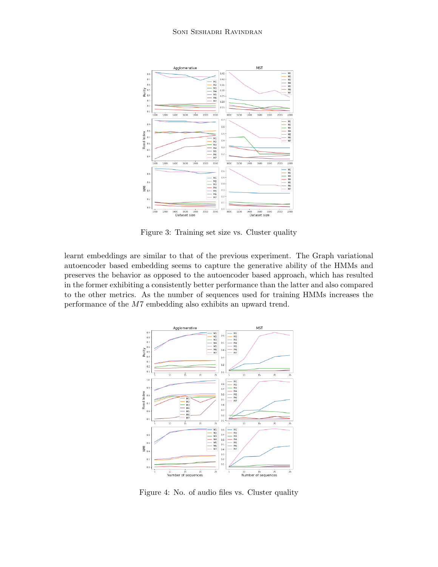

<span id="page-11-0"></span>Figure 3: Training set size vs. Cluster quality

learnt embeddings are similar to that of the previous experiment. The Graph variational autoencoder based embedding seems to capture the generative ability of the HMMs and preserves the behavior as opposed to the autoencoder based approach, which has resulted in the former exhibiting a consistently better performance than the latter and also compared to the other metrics. As the number of sequences used for training HMMs increases the performance of the M7 embedding also exhibits an upward trend.



<span id="page-11-1"></span>Figure 4: No. of audio files vs. Cluster quality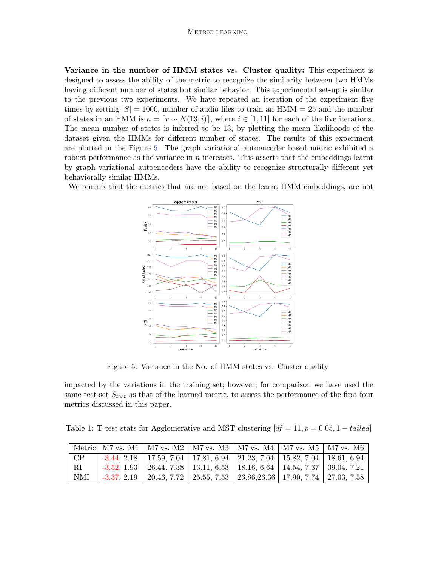Variance in the number of HMM states vs. Cluster quality: This experiment is designed to assess the ability of the metric to recognize the similarity between two HMMs having different number of states but similar behavior. This experimental set-up is similar to the previous two experiments. We have repeated an iteration of the experiment five times by setting  $|S| = 1000$ , number of audio files to train an HMM = 25 and the number of states in an HMM is  $n = [r \sim N(13, i)]$ , where  $i \in [1, 11]$  for each of the five iterations. The mean number of states is inferred to be 13, by plotting the mean likelihoods of the dataset given the HMMs for different number of states. The results of this experiment are plotted in the Figure [5.](#page-12-0) The graph variational autoencoder based metric exhibited a robust performance as the variance in  $n$  increases. This asserts that the embeddings learnt by graph variational autoencoders have the ability to recognize structurally different yet behaviorally similar HMMs.

We remark that the metrics that are not based on the learnt HMM embeddings, are not



<span id="page-12-0"></span>Figure 5: Variance in the No. of HMM states vs. Cluster quality

impacted by the variations in the training set; however, for comparison we have used the same test-set  $S_{test}$  as that of the learned metric, to assess the performance of the first four metrics discussed in this paper.

<span id="page-12-1"></span>Table 1: T-test stats for Agglomerative and MST clustering  $df = 11$ ,  $p = 0.05$ , 1 – tailed

|                 |  | Metric   M7 vs. M1   M7 vs. M2   M7 vs. M3   M7 vs. M4   M7 vs. M5   M7 vs. M6                                           |  |  |
|-----------------|--|--------------------------------------------------------------------------------------------------------------------------|--|--|
| $\overline{CP}$ |  | -3.44, 2.18   17.59, 7.04   17.81, 6.94   21.23, 7.04   15.82, 7.04   18.61, 6.94                                        |  |  |
| $^+$ RI         |  | -3.52, 1.93   26.44, 7.38   13.11, 6.53   18.16, 6.64   14.54, 7.37   09.04, 7.21                                        |  |  |
| NMI             |  | $\mid$ -3.37, 2.19 $\mid$ 20.46, 7.72 $\mid$ 25.55, 7.53 $\mid$ 26.86,26.36 $\mid$ 17.90, 7.74 $\mid$ 27.03, 7.58 $\mid$ |  |  |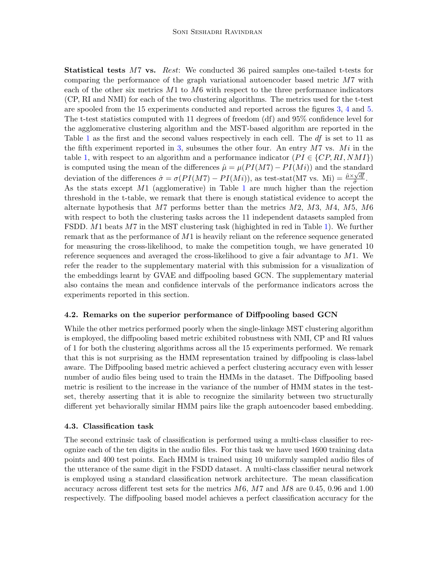Statistical tests M7 vs. Rest: We conducted 36 paired samples one-tailed t-tests for comparing the performance of the graph variational autoencoder based metric M7 with each of the other six metrics  $M1$  to  $M6$  with respect to the three performance indicators (CP, RI and NMI) for each of the two clustering algorithms. The metrics used for the t-test are spooled from the 15 experiments conducted and reported across the figures [3,](#page-11-0) [4](#page-11-1) and [5.](#page-12-0) The t-test statistics computed with 11 degrees of freedom (df) and 95% confidence level for the agglomerative clustering algorithm and the MST-based algorithm are reported in the Table [1](#page-12-1) as the first and the second values respectively in each cell. The df is set to 11 as the fifth experiment reported in [3,](#page-11-0) subsumes the other four. An entry  $M7$  vs.  $Mi$  in the table [1,](#page-12-1) with respect to an algorithm and a performance indicator  $(PI \in \{CP, RI, NMI\})$ is computed using the mean of the differences  $\hat{\mu} = \mu(PI(M7) - PI(Mi))$  and the standard deviation of the differences  $\hat{\sigma} = \sigma(PI(M7) - PI(Mi))$ , as test-stat(M7 vs. Mi) =  $\frac{\hat{\mu} \times \sqrt{df}}{\hat{\sigma}}$  $\frac{\sqrt{df}}{\hat{\sigma}}$  . As the stats except  $M1$  $M1$  (agglomerative) in Table 1 are much higher than the rejection threshold in the t-table, we remark that there is enough statistical evidence to accept the alternate hypothesis that  $M7$  performs better than the metrics  $M2$ ,  $M3$ ,  $M4$ ,  $M5$ ,  $M6$ with respect to both the clustering tasks across the 11 independent datasets sampled from FSDD. M1 beats M7 in the MST clustering task (highighted in red in Table [1\)](#page-12-1). We further remark that as the performance of  $M1$  is heavily reliant on the reference sequence generated for measuring the cross-likelihood, to make the competition tough, we have generated 10 reference sequences and averaged the cross-likelihood to give a fair advantage to  $M1$ . We refer the reader to the supplementary material with this submission for a visualization of the embeddings learnt by GVAE and diffpooling based GCN. The supplementary material also contains the mean and confidence intervals of the performance indicators across the experiments reported in this section.

### 4.2. Remarks on the superior performance of Diffpooling based GCN

While the other metrics performed poorly when the single-linkage MST clustering algorithm is employed, the diffpooling based metric exhibited robustness with NMI, CP and RI values of 1 for both the clustering algorithms across all the 15 experiments performed. We remark that this is not surprising as the HMM representation trained by diffpooling is class-label aware. The Diffpooling based metric achieved a perfect clustering accuracy even with lesser number of audio files being used to train the HMMs in the dataset. The Diffpooling based metric is resilient to the increase in the variance of the number of HMM states in the testset, thereby asserting that it is able to recognize the similarity between two structurally different yet behaviorally similar HMM pairs like the graph autoencoder based embedding.

#### 4.3. Classification task

The second extrinsic task of classification is performed using a multi-class classifier to recognize each of the ten digits in the audio files. For this task we have used 1600 training data points and 400 test points. Each HMM is trained using 10 uniformly sampled audio files of the utterance of the same digit in the FSDD dataset. A multi-class classifier neural network is employed using a standard classification network architecture. The mean classification accuracy across different test sets for the metrics  $M6$ ,  $M7$  and  $M8$  are 0.45, 0.96 and 1.00 respectively. The diffpooling based model achieves a perfect classification accuracy for the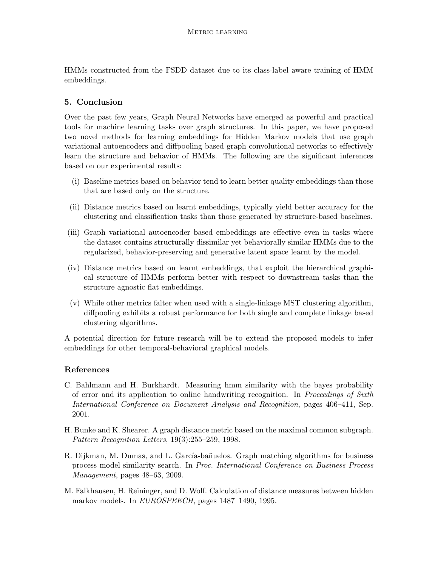HMMs constructed from the FSDD dataset due to its class-label aware training of HMM embeddings.

## <span id="page-14-2"></span>5. Conclusion

Over the past few years, Graph Neural Networks have emerged as powerful and practical tools for machine learning tasks over graph structures. In this paper, we have proposed two novel methods for learning embeddings for Hidden Markov models that use graph variational autoencoders and diffpooling based graph convolutional networks to effectively learn the structure and behavior of HMMs. The following are the significant inferences based on our experimental results:

- (i) Baseline metrics based on behavior tend to learn better quality embeddings than those that are based only on the structure.
- (ii) Distance metrics based on learnt embeddings, typically yield better accuracy for the clustering and classification tasks than those generated by structure-based baselines.
- (iii) Graph variational autoencoder based embeddings are effective even in tasks where the dataset contains structurally dissimilar yet behaviorally similar HMMs due to the regularized, behavior-preserving and generative latent space learnt by the model.
- (iv) Distance metrics based on learnt embeddings, that exploit the hierarchical graphical structure of HMMs perform better with respect to downstream tasks than the structure agnostic flat embeddings.
- (v) While other metrics falter when used with a single-linkage MST clustering algorithm, diffpooling exhibits a robust performance for both single and complete linkage based clustering algorithms.

A potential direction for future research will be to extend the proposed models to infer embeddings for other temporal-behavioral graphical models.

## References

- <span id="page-14-1"></span>C. Bahlmann and H. Burkhardt. Measuring hmm similarity with the bayes probability of error and its application to online handwriting recognition. In Proceedings of Sixth International Conference on Document Analysis and Recognition, pages 406–411, Sep. 2001.
- <span id="page-14-3"></span>H. Bunke and K. Shearer. A graph distance metric based on the maximal common subgraph. Pattern Recognition Letters, 19(3):255–259, 1998.
- <span id="page-14-4"></span>R. Dijkman, M. Dumas, and L. García-bañuelos. Graph matching algorithms for business process model similarity search. In Proc. International Conference on Business Process Management, pages 48–63, 2009.
- <span id="page-14-0"></span>M. Falkhausen, H. Reininger, and D. Wolf. Calculation of distance measures between hidden markov models. In EUROSPEECH, pages 1487–1490, 1995.